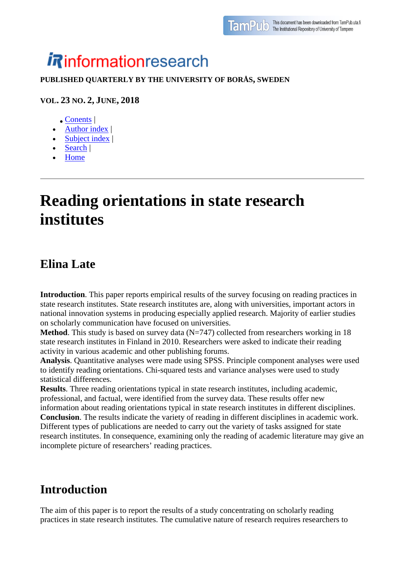# **informationresearch**

#### **PUBLISHED QUARTERLY BY THE UNIVERSITY OF BORÅS, SWEDEN**

#### **VOL. 23 NO. 2, JUNE, 2018**

- [Conents](http://www.informationr.net/ir/23-2/infres232.html) |
- [Author index](http://www.informationr.net/ir/iraindex.html) |
- [Subject index](http://www.informationr.net/ir/irsindex.html) |
- [Search](http://www.informationr.net/ir/search.html) |
- [Home](http://www.informationr.net/ir/index.html)

## **Reading orientations in state research institutes**

#### **Elina Late**

**Introduction**. This paper reports empirical results of the survey focusing on reading practices in state research institutes. State research institutes are, along with universities, important actors in national innovation systems in producing especially applied research. Majority of earlier studies on scholarly communication have focused on universities.

**Method**. This study is based on survey data  $(N=747)$  collected from researchers working in 18 state research institutes in Finland in 2010. Researchers were asked to indicate their reading activity in various academic and other publishing forums.

**Analysis**. Quantitative analyses were made using SPSS. Principle component analyses were used to identify reading orientations. Chi-squared tests and variance analyses were used to study statistical differences.

**Results**. Three reading orientations typical in state research institutes, including academic, professional, and factual, were identified from the survey data. These results offer new information about reading orientations typical in state research institutes in different disciplines. **Conclusion**. The results indicate the variety of reading in different disciplines in academic work. Different types of publications are needed to carry out the variety of tasks assigned for state research institutes. In consequence, examining only the reading of academic literature may give an incomplete picture of researchers' reading practices.

### **Introduction**

The aim of this paper is to report the results of a study concentrating on scholarly reading practices in state research institutes. The cumulative nature of research requires researchers to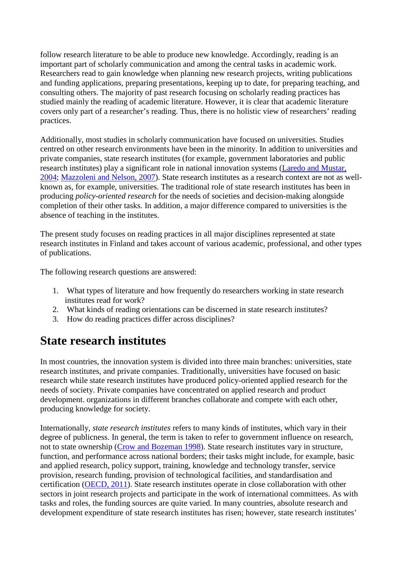follow research literature to be able to produce new knowledge. Accordingly, reading is an important part of scholarly communication and among the central tasks in academic work. Researchers read to gain knowledge when planning new research projects, writing publications and funding applications, preparing presentations, keeping up to date, for preparing teaching, and consulting others. The majority of past research focusing on scholarly reading practices has studied mainly the reading of academic literature. However, it is clear that academic literature covers only part of a researcher's reading. Thus, there is no holistic view of researchers' reading practices.

Additionally, most studies in scholarly communication have focused on universities. Studies centred on other research environments have been in the minority. In addition to universities and private companies, state research institutes (for example, government laboratories and public research institutes) play a significant role in national innovation systems [\(Laredo and Mustar,](http://www.informationr.net/ir/23-2/paper795.html#Lar04)  [2004;](http://www.informationr.net/ir/23-2/paper795.html#Lar04) [Mazzoleni and Nelson, 2007\)](http://www.informationr.net/ir/23-2/paper795.html#Maz07). State research institutes as a research context are not as wellknown as, for example, universities. The traditional role of state research institutes has been in producing *policy-oriented research* for the needs of societies and decision-making alongside completion of their other tasks. In addition, a major difference compared to universities is the absence of teaching in the institutes.

The present study focuses on reading practices in all major disciplines represented at state research institutes in Finland and takes account of various academic, professional, and other types of publications.

The following research questions are answered:

- 1. What types of literature and how frequently do researchers working in state research institutes read for work?
- 2. What kinds of reading orientations can be discerned in state research institutes?
- 3. How do reading practices differ across disciplines?

### **State research institutes**

In most countries, the innovation system is divided into three main branches: universities, state research institutes, and private companies. Traditionally, universities have focused on basic research while state research institutes have produced policy-oriented applied research for the needs of society. Private companies have concentrated on applied research and product development. organizations in different branches collaborate and compete with each other, producing knowledge for society.

Internationally, *state research institutes* refers to many kinds of institutes, which vary in their degree of publicness. In general, the term is taken to refer to government influence on research, not to state ownership [\(Crow and Bozeman 1998\)](http://www.informationr.net/ir/23-2/paper795.html#Cro98). State research institutes vary in structure, function, and performance across national borders; their tasks might include, for example, basic and applied research, policy support, training, knowledge and technology transfer, service provision, research funding, provision of technological facilities, and standardisation and certification [\(OECD, 2011\)](http://www.informationr.net/ir/23-2/paper795.html#OE11). State research institutes operate in close collaboration with other sectors in joint research projects and participate in the work of international committees. As with tasks and roles, the funding sources are quite varied. In many countries, absolute research and development expenditure of state research institutes has risen; however, state research institutes'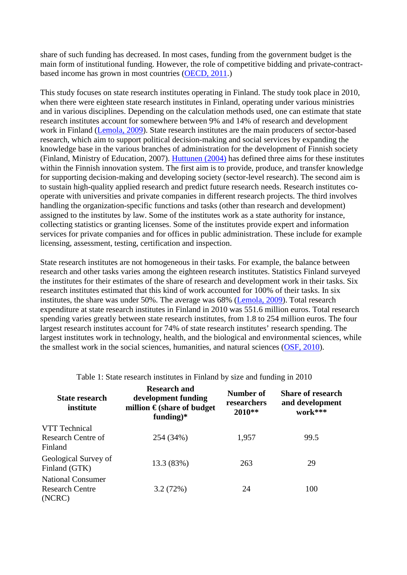share of such funding has decreased. In most cases, funding from the government budget is the main form of institutional funding. However, the role of competitive bidding and private-contractbased income has grown in most countries [\(OECD, 2011.](http://www.informationr.net/ir/23-2/paper795.html#OE11))

This study focuses on state research institutes operating in Finland. The study took place in 2010, when there were eighteen state research institutes in Finland, operating under various ministries and in various disciplines. Depending on the calculation methods used, one can estimate that state research institutes account for somewhere between 9% and 14% of research and development work in Finland [\(Lemola, 2009\)](http://www.informationr.net/ir/23-2/paper795.html#Lem09). State research institutes are the main producers of sector-based research, which aim to support political decision-making and social services by expanding the knowledge base in the various branches of administration for the development of Finnish society (Finland, Ministry of Education, 2007). [Huttunen \(2004\)](http://www.informationr.net/ir/23-2/paper795.html#Hut04) has defined three aims for these institutes within the Finnish innovation system. The first aim is to provide, produce, and transfer knowledge for supporting decision-making and developing society (sector-level research). The second aim is to sustain high-quality applied research and predict future research needs. Research institutes cooperate with universities and private companies in different research projects. The third involves handling the organization-specific functions and tasks (other than research and development) assigned to the institutes by law. Some of the institutes work as a state authority for instance, collecting statistics or granting licenses. Some of the institutes provide expert and information services for private companies and for offices in public administration. These include for example licensing, assessment, testing, certification and inspection.

State research institutes are not homogeneous in their tasks. For example, the balance between research and other tasks varies among the eighteen research institutes. Statistics Finland surveyed the institutes for their estimates of the share of research and development work in their tasks. Six research institutes estimated that this kind of work accounted for 100% of their tasks. In six institutes, the share was under 50%. The average was 68% [\(Lemola, 2009\)](http://www.informationr.net/ir/23-2/paper795.html#Lem09). Total research expenditure at state research institutes in Finland in 2010 was 551.6 million euros. Total research spending varies greatly between state research institutes, from 1.8 to 254 million euros. The four largest research institutes account for 74% of state research institutes' research spending. The largest institutes work in technology, health, and the biological and environmental sciences, while the smallest work in the social sciences, humanities, and natural sciences [\(OSF, 2010\)](http://www.informationr.net/ir/23-2/paper795.html#Osf10).

| <b>State research</b><br>institute                    | <b>Research and</b><br>development funding<br>million $\epsilon$ (share of budget<br>funding) $*$ | Number of<br>researchers<br>2010** | <b>Share of research</b><br>and development<br>work*** |
|-------------------------------------------------------|---------------------------------------------------------------------------------------------------|------------------------------------|--------------------------------------------------------|
| VTT Technical<br>Research Centre of<br>Finland        | 254 (34%)                                                                                         | 1,957                              | 99.5                                                   |
| Geological Survey of<br>Finland (GTK)                 | 13.3 (83%)                                                                                        | 263                                | 29                                                     |
| <b>National Consumer</b><br>Research Centre<br>(NCRC) | 3.2(72%)                                                                                          | 24                                 | 100                                                    |

Table 1: State research institutes in Finland by size and funding in 2010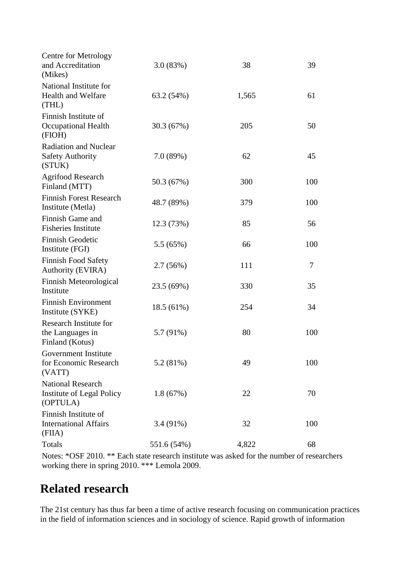| <b>Centre for Metrology</b><br>and Accreditation<br>(Mikes)       | 3.0(83%)    | 38    | 39  |
|-------------------------------------------------------------------|-------------|-------|-----|
| National Institute for<br><b>Health and Welfare</b><br>(THL)      | 63.2 (54%)  | 1,565 | 61  |
| Finnish Institute of<br><b>Occupational Health</b><br>(FIOH)      | 30.3 (67%)  | 205   | 50  |
| <b>Radiation and Nuclear</b><br><b>Safety Authority</b><br>(STUK) | 7.0(89%)    | 62    | 45  |
| <b>Agrifood Research</b><br>Finland (MTT)                         | 50.3 (67%)  | 300   | 100 |
| <b>Finnish Forest Research</b><br>Institute (Metla)               | 48.7 (89%)  | 379   | 100 |
| Finnish Game and<br><b>Fisheries Institute</b>                    | 12.3 (73%)  | 85    | 56  |
| <b>Finnish Geodetic</b><br>Institute (FGI)                        | 5.5(65%)    | 66    | 100 |
| <b>Finnish Food Safety</b><br><b>Authority (EVIRA)</b>            | 2.7(56%)    | 111   | 7   |
| Finnish Meteorological<br>Institute                               | 23.5 (69%)  | 330   | 35  |
| <b>Finnish Environment</b><br>Institute (SYKE)                    | 18.5(61%)   | 254   | 34  |
| Research Institute for<br>the Languages in<br>Finland (Kotus)     | 5.7 (91%)   | 80    | 100 |
| Government Institute<br>for Economic Research<br>(VATT)           | 5.2 (81%)   | 49    | 100 |
| <b>National Research</b><br>Institute of Legal Policy<br>(OPTULA) | 1.8(67%)    | 22    | 70  |
| Finnish Institute of<br><b>International Affairs</b><br>(FIIA)    | $3.4(91\%)$ | 32    | 100 |
| <b>Totals</b>                                                     | 551.6 (54%) | 4,822 | 68  |

Notes: \*OSF 2010. \*\* Each state research institute was asked for the number of researchers working there in spring 2010. \*\*\* Lemola 2009.

### **Related research**

The 21st century has thus far been a time of active research focusing on communication practices in the field of information sciences and in sociology of science. Rapid growth of information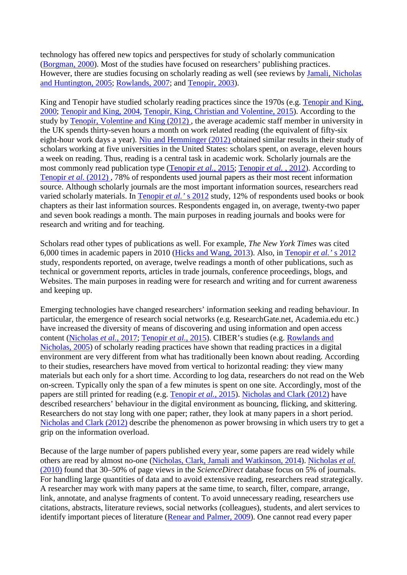technology has offered new topics and perspectives for study of scholarly communication [\(Borgman, 2000\)](http://www.informationr.net/ir/23-2/paper795.html#Bor00). Most of the studies have focused on researchers' publishing practices. However, there are studies focusing on scholarly reading as well (see reviews by [Jamali, Nicholas](http://www.informationr.net/ir/23-2/paper795.html#Jam05)  [and Huntington, 2005;](http://www.informationr.net/ir/23-2/paper795.html#Jam05) [Rowlands, 2007;](http://www.informationr.net/ir/23-2/paper795.html#Row07) and [Tenopir, 2003\)](http://www.informationr.net/ir/23-2/paper795.html#Ten03).

King and Tenopir have studied scholarly reading practices since the 1970s (e.g. [Tenopir and King,](http://www.informationr.net/ir/23-2/paper795.html#Ten00)  [2000;](http://www.informationr.net/ir/23-2/paper795.html#Ten00) [Tenopir and King, 2004,](http://www.informationr.net/ir/23-2/paper795.html#Ten04) [Tenopir, King, Christian and Volentine, 2015\)](http://www.informationr.net/ir/23-2/paper795.html#Ten15). According to the study by [Tenopir, Volentine and King \(2012\) ,](http://www.informationr.net/ir/23-2/paper795.html#Ten12) the average academic staff member in university in the UK spends thirty-seven hours a month on work related reading (the equivalent of fifty-six eight-hour work days a year). [Niu and Hemminger \(2012\) o](http://www.informationr.net/ir/23-2/paper795.html#Niu12)btained similar results in their study of scholars working at five universities in the United States: scholars spent, on average, eleven hours a week on reading. Thus, reading is a central task in academic work. Scholarly journals are the most commonly read publication type [\(Tenopir](http://www.informationr.net/ir/23-2/paper795.html#Ten15) *et al.*, 2015; [Tenopir](http://www.informationr.net/ir/23-2/paper795.html#Ten12) *et al.* , 2012). According to [Tenopir](http://www.informationr.net/ir/23-2/paper795.html#Ten12) *et al.* (2012), 78% of respondents used journal papers as their most recent information source. Although scholarly journals are the most important information sources, researchers read varied scholarly materials. In [Tenopir](http://www.informationr.net/ir/23-2/paper795.html#Ten12) *et al.'* s 2012 study, 12% of respondents used books or book chapters as their last information sources. Respondents engaged in, on average, twenty-two paper and seven book readings a month. The main purposes in reading journals and books were for research and writing and for teaching.

Scholars read other types of publications as well. For example, *The New York Times* was cited 6,000 times in academic papers in 2010 [\(Hicks and Wang, 2013\)](http://www.informationr.net/ir/23-2/paper795.html#Hic13). Also, in [Tenopir](http://www.informationr.net/ir/23-2/paper795.html#Ten12) *et al.'* s 2012 study, respondents reported, on average, twelve readings a month of other publications, such as technical or government reports, articles in trade journals, conference proceedings, blogs, and Websites. The main purposes in reading were for research and writing and for current awareness and keeping up.

Emerging technologies have changed researchers' information seeking and reading behaviour. In particular, the emergence of research social networks (e.g. ResearchGate.net, Academia.edu etc.) have increased the diversity of means of discovering and using information and open access content [\(Nicholas](http://www.informationr.net/ir/23-2/paper795.html#Nic17) *et al.*, 2017; [Tenopir](http://www.informationr.net/ir/23-2/paper795.html#Ten15) *et al.*, 2015). CIBER's studies (e.g. [Rowlands and](http://www.informationr.net/ir/23-2/paper795.html#Row05)  [Nicholas, 2005\)](http://www.informationr.net/ir/23-2/paper795.html#Row05) of scholarly reading practices have shown that reading practices in a digital environment are very different from what has traditionally been known about reading. According to their studies, researchers have moved from vertical to horizontal reading: they view many materials but each only for a short time. According to log data, researchers do not read on the Web on-screen. Typically only the span of a few minutes is spent on one site. Accordingly, most of the papers are still printed for reading (e.g. [Tenopir](http://www.informationr.net/ir/23-2/paper795.html#Ten15) *et al.*, 2015). [Nicholas and Clark \(2012\)](http://www.informationr.net/ir/23-2/paper795.html#Nic12) have described researchers' behaviour in the digital environment as bouncing, flicking, and skittering. Researchers do not stay long with one paper; rather, they look at many papers in a short period. [Nicholas and Clark \(2012\)](http://www.informationr.net/ir/23-2/paper795.html#Nic12) describe the phenomenon as power browsing in which users try to get a grip on the information overload.

Because of the large number of papers published every year, some papers are read widely while others are read by almost no-one [\(Nicholas, Clark, Jamali and Watkinson, 2014\)](http://www.informationr.net/ir/23-2/paper795.html#Nic14). [Nicholas](http://www.informationr.net/ir/23-2/paper795.html#Nic10) *et al.* [\(2010\)](http://www.informationr.net/ir/23-2/paper795.html#Nic10) found that 30–50% of page views in the *ScienceDirect* database focus on 5% of journals. For handling large quantities of data and to avoid extensive reading, researchers read strategically. A researcher may work with many papers at the same time, to search, filter, compare, arrange, link, annotate, and analyse fragments of content. To avoid unnecessary reading, researchers use citations, abstracts, literature reviews, social networks (colleagues), students, and alert services to identify important pieces of literature [\(Renear and Palmer, 2009\)](http://www.informationr.net/ir/23-2/paper795.html#Ren09). One cannot read every paper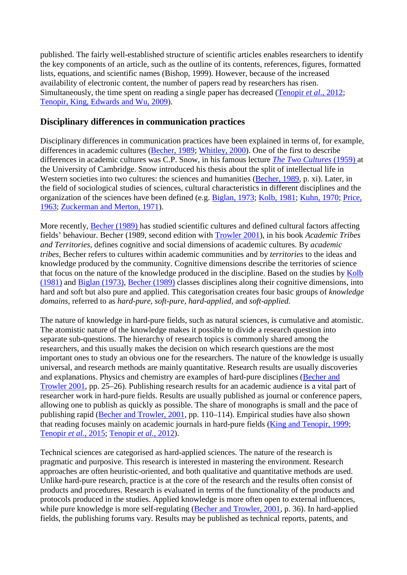published. The fairly well-established structure of scientific articles enables researchers to identify the key components of an article, such as the outline of its contents, references, figures, formatted lists, equations, and scientific names (Bishop, 1999). However, because of the increased availability of electronic content, the number of papers read by researchers has risen. Simultaneously, the time spent on reading a single paper has decreased [\(Tenopir](http://www.informationr.net/ir/23-2/paper795.html#Ten12) *et al.*, 2012; [Tenopir, King, Edwards and Wu, 2009\)](http://www.informationr.net/ir/23-2/paper795.html#Ten09).

#### **Disciplinary differences in communication practices**

Disciplinary differences in communication practices have been explained in terms of, for example, differences in academic cultures [\(Becher, 1989;](http://www.informationr.net/ir/23-2/paper795.html#Bec89) [Whitley, 2000\)](http://www.informationr.net/ir/23-2/paper795.html#Whi00). One of the first to describe differences in academic cultures was C.P. Snow, in his famous lecture *[The Two Cultures](http://www.informationr.net/ir/23-2/paper795.html#Sno59)* (1959) at the University of Cambridge. Snow introduced his thesis about the split of intellectual life in Western societies into two cultures: the sciences and humanities [\(Becher, 1989,](http://www.informationr.net/ir/23-2/paper795.html#Bec89) p. xi). Later, in the field of sociological studies of sciences, cultural characteristics in different disciplines and the organization of the sciences have been defined (e.g. [Biglan, 1973;](http://www.informationr.net/ir/23-2/paper795.html#Big73) [Kolb, 1981;](http://www.informationr.net/ir/23-2/paper795.html#Kol81) [Kuhn, 1970;](http://www.informationr.net/ir/23-2/paper795.html#Kuh70) [Price,](http://www.informationr.net/ir/23-2/paper795.html#Pri63)  [1963;](http://www.informationr.net/ir/23-2/paper795.html#Pri63) [Zuckerman and Merton, 1971\)](http://www.informationr.net/ir/23-2/paper795.html#Zuc71).

More recently, [Becher \(1989\) h](http://www.informationr.net/ir/23-2/paper795.html#Bec89)as studied scientific cultures and defined cultural factors affecting fields' behaviour. Becher (1989, second edition with [Trowler 2001\)](http://www.informationr.net/ir/23-2/paper795.html#Bec01), in his book *Academic Tribes and Territories*, defines cognitive and social dimensions of academic cultures. By *academic tribes*, Becher refers to cultures within academic communities and by *territories* to the ideas and knowledge produced by the community. Cognitive dimensions describe the territories of science that focus on the nature of the knowledge produced in the discipline. Based on the studies by [Kolb](http://www.informationr.net/ir/23-2/paper795.html#Kol81)  [\(1981\)](http://www.informationr.net/ir/23-2/paper795.html#Kol81) and [Biglan \(1973\),](http://www.informationr.net/ir/23-2/paper795.html#Big73) [Becher \(1989\)](http://www.informationr.net/ir/23-2/paper795.html#Bec89) classes disciplines along their cognitive dimensions, into hard and soft but also pure and applied. This categorisation creates four basic groups of *knowledge domains*, referred to as *hard-pure, soft-pure, hard-applied,* and *soft-applied.*

The nature of knowledge in hard-pure fields, such as natural sciences, is cumulative and atomistic. The atomistic nature of the knowledge makes it possible to divide a research question into separate sub-questions. The hierarchy of research topics is commonly shared among the researchers, and this usually makes the decision on which research questions are the most important ones to study an obvious one for the researchers. The nature of the knowledge is usually universal, and research methods are mainly quantitative. Research results are usually discoveries and explanations. Physics and chemistry are examples of hard-pure disciplines [\(Becher and](http://www.informationr.net/ir/23-2/paper795.html#Bec01)  [Trowler 2001,](http://www.informationr.net/ir/23-2/paper795.html#Bec01) pp. 25–26). Publishing research results for an academic audience is a vital part of researcher work in hard-pure fields. Results are usually published as journal or conference papers, allowing one to publish as quickly as possible. The share of monographs is small and the pace of publishing rapid [\(Becher and Trowler, 2001,](http://www.informationr.net/ir/23-2/paper795.html#Bec01) pp. 110–114). Empirical studies have also shown that reading focuses mainly on academic journals in hard-pure fields [\(King and Tenopir, 1999;](http://www.informationr.net/ir/23-2/paper795.html#Kin99) [Tenopir](http://www.informationr.net/ir/23-2/paper795.html#Ten15) *et al.*, 2015; [Tenopir](http://www.informationr.net/ir/23-2/paper795.html#Ten12) *et al.*, 2012).

Technical sciences are categorised as hard-applied sciences. The nature of the research is pragmatic and purposive. This research is interested in mastering the environment. Research approaches are often heuristic-oriented, and both qualitative and quantitative methods are used. Unlike hard-pure research, practice is at the core of the research and the results often consist of products and procedures. Research is evaluated in terms of the functionality of the products and protocols produced in the studies. Applied knowledge is more often open to external influences, while pure knowledge is more self-regulating [\(Becher and Trowler, 2001,](http://www.informationr.net/ir/23-2/paper795.html#Bec01) p. 36). In hard-applied fields, the publishing forums vary. Results may be published as technical reports, patents, and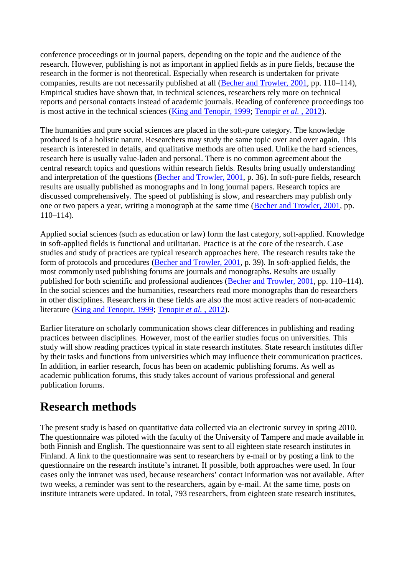conference proceedings or in journal papers, depending on the topic and the audience of the research. However, publishing is not as important in applied fields as in pure fields, because the research in the former is not theoretical. Especially when research is undertaken for private companies, results are not necessarily published at all [\(Becher and Trowler, 2001,](http://www.informationr.net/ir/23-2/paper795.html#Bec01) pp. 110–114), Empirical studies have shown that, in technical sciences, researchers rely more on technical reports and personal contacts instead of academic journals. Reading of conference proceedings too is most active in the technical sciences [\(King and Tenopir, 1999;](http://www.informationr.net/ir/23-2/paper795.html#KinTe99) [Tenopir](http://www.informationr.net/ir/23-2/paper795.html#Ten12) *et al.* , 2012).

The humanities and pure social sciences are placed in the soft-pure category. The knowledge produced is of a holistic nature. Researchers may study the same topic over and over again. This research is interested in details, and qualitative methods are often used. Unlike the hard sciences, research here is usually value-laden and personal. There is no common agreement about the central research topics and questions within research fields. Results bring usually understanding and interpretation of the questions [\(Becher and Trowler, 2001,](http://www.informationr.net/ir/23-2/paper795.html#Bec01) p. 36). In soft-pure fields, research results are usually published as monographs and in long journal papers. Research topics are discussed comprehensively. The speed of publishing is slow, and researchers may publish only one or two papers a year, writing a monograph at the same time [\(Becher and Trowler, 2001,](http://www.informationr.net/ir/23-2/paper795.html#Bec01) pp. 110–114).

Applied social sciences (such as education or law) form the last category, soft-applied. Knowledge in soft-applied fields is functional and utilitarian. Practice is at the core of the research. Case studies and study of practices are typical research approaches here. The research results take the form of protocols and procedures [\(Becher and Trowler, 2001,](http://www.informationr.net/ir/23-2/paper795.html#Bec01) p. 39). In soft-applied fields, the most commonly used publishing forums are journals and monographs. Results are usually published for both scientific and professional audiences [\(Becher and Trowler, 2001,](http://www.informationr.net/ir/23-2/paper795.html#Bec01) pp. 110–114). In the social sciences and the humanities, researchers read more monographs than do researchers in other disciplines. Researchers in these fields are also the most active readers of non-academic literature [\(King and Tenopir, 1999;](http://www.informationr.net/ir/23-2/paper795.html#Kin99) [Tenopir](http://www.informationr.net/ir/23-2/paper795.html#Ten12) *et al.* , 2012).

Earlier literature on scholarly communication shows clear differences in publishing and reading practices between disciplines. However, most of the earlier studies focus on universities. This study will show reading practices typical in state research institutes. State research institutes differ by their tasks and functions from universities which may influence their communication practices. In addition, in earlier research, focus has been on academic publishing forums. As well as academic publication forums, this study takes account of various professional and general publication forums.

### **Research methods**

The present study is based on quantitative data collected via an electronic survey in spring 2010. The questionnaire was piloted with the faculty of the University of Tampere and made available in both Finnish and English. The questionnaire was sent to all eighteen state research institutes in Finland. A link to the questionnaire was sent to researchers by e-mail or by posting a link to the questionnaire on the research institute's intranet. If possible, both approaches were used. In four cases only the intranet was used, because researchers' contact information was not available. After two weeks, a reminder was sent to the researchers, again by e-mail. At the same time, posts on institute intranets were updated. In total, 793 researchers, from eighteen state research institutes,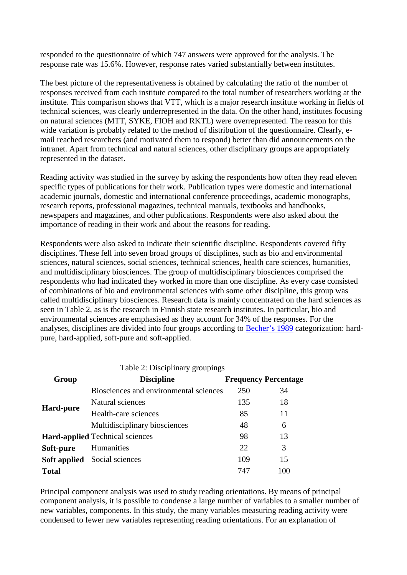responded to the questionnaire of which 747 answers were approved for the analysis. The response rate was 15.6%. However, response rates varied substantially between institutes.

The best picture of the representativeness is obtained by calculating the ratio of the number of responses received from each institute compared to the total number of researchers working at the institute. This comparison shows that VTT, which is a major research institute working in fields of technical sciences, was clearly underrepresented in the data. On the other hand, institutes focusing on natural sciences (MTT, SYKE, FIOH and RKTL) were overrepresented. The reason for this wide variation is probably related to the method of distribution of the questionnaire. Clearly, email reached researchers (and motivated them to respond) better than did announcements on the intranet. Apart from technical and natural sciences, other disciplinary groups are appropriately represented in the dataset.

Reading activity was studied in the survey by asking the respondents how often they read eleven specific types of publications for their work. Publication types were domestic and international academic journals, domestic and international conference proceedings, academic monographs, research reports, professional magazines, technical manuals, textbooks and handbooks, newspapers and magazines, and other publications. Respondents were also asked about the importance of reading in their work and about the reasons for reading.

Respondents were also asked to indicate their scientific discipline. Respondents covered fifty disciplines. These fell into seven broad groups of disciplines, such as bio and environmental sciences, natural sciences, social sciences, technical sciences, health care sciences, humanities, and multidisciplinary biosciences. The group of multidisciplinary biosciences comprised the respondents who had indicated they worked in more than one discipline. As every case consisted of combinations of bio and environmental sciences with some other discipline, this group was called multidisciplinary biosciences. Research data is mainly concentrated on the hard sciences as seen in Table 2, as is the research in Finnish state research institutes. In particular, bio and environmental sciences are emphasised as they account for 34% of the responses. For the analyses, disciplines are divided into four groups according to [Becher's 1989](http://www.informationr.net/ir/23-2/paper795.html#Bec89) categorization: hardpure, hard-applied, soft-pure and soft-applied.

| Table 2: Disciplinary groupings |                                        |                             |     |
|---------------------------------|----------------------------------------|-----------------------------|-----|
| Group                           | <b>Discipline</b>                      | <b>Frequency Percentage</b> |     |
| <b>Hard-pure</b>                | Biosciences and environmental sciences | 250                         | 34  |
|                                 | Natural sciences                       | 135                         | 18  |
|                                 | Health-care sciences                   | 85                          | 11  |
|                                 | Multidisciplinary biosciences          | 48                          | 6   |
|                                 | <b>Hard-applied</b> Technical sciences | 98                          | 13  |
| Soft-pure                       | Humanities                             | 22                          | 3   |
|                                 | <b>Soft applied</b> Social sciences    | 109                         | 15  |
| <b>Total</b>                    |                                        | 747                         | 100 |

Principal component analysis was used to study reading orientations. By means of principal component analysis, it is possible to condense a large number of variables to a smaller number of new variables, components. In this study, the many variables measuring reading activity were condensed to fewer new variables representing reading orientations. For an explanation of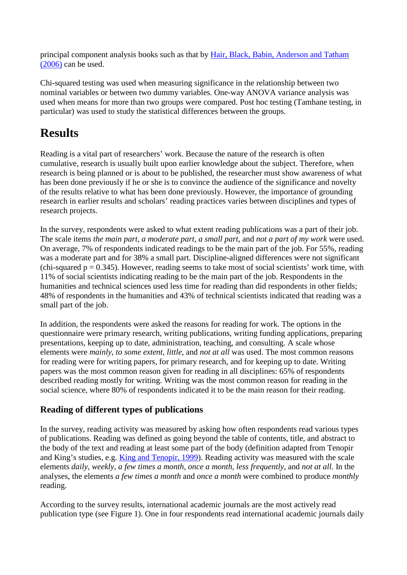principal component analysis books such as that by [Hair, Black, Babin, Anderson and Tatham](http://www.informationr.net/ir/23-2/paper795.html#Hai06)  [\(2006\)](http://www.informationr.net/ir/23-2/paper795.html#Hai06) can be used.

Chi-squared testing was used when measuring significance in the relationship between two nominal variables or between two dummy variables. One-way ANOVA variance analysis was used when means for more than two groups were compared. Post hoc testing (Tamhane testing, in particular) was used to study the statistical differences between the groups.

### **Results**

Reading is a vital part of researchers' work. Because the nature of the research is often cumulative, research is usually built upon earlier knowledge about the subject. Therefore, when research is being planned or is about to be published, the researcher must show awareness of what has been done previously if he or she is to convince the audience of the significance and novelty of the results relative to what has been done previously. However, the importance of grounding research in earlier results and scholars' reading practices varies between disciplines and types of research projects.

In the survey, respondents were asked to what extent reading publications was a part of their job. The scale items *the main part, a moderate part, a small part*, and *not a part of my work* were used. On average, 7% of respondents indicated readings to be the main part of the job. For 55%, reading was a moderate part and for 38% a small part. Discipline-aligned differences were not significant (chi-squared  $p = 0.345$ ). However, reading seems to take most of social scientists' work time, with 11% of social scientists indicating reading to be the main part of the job. Respondents in the humanities and technical sciences used less time for reading than did respondents in other fields; 48% of respondents in the humanities and 43% of technical scientists indicated that reading was a small part of the job.

In addition, the respondents were asked the reasons for reading for work. The options in the questionnaire were primary research, writing publications, writing funding applications, preparing presentations, keeping up to date, administration, teaching, and consulting. A scale whose elements were *mainly, to some extent, little*, and *not at all* was used. The most common reasons for reading were for writing papers, for primary research, and for keeping up to date. Writing papers was the most common reason given for reading in all disciplines: 65% of respondents described reading mostly for writing. Writing was the most common reason for reading in the social science, where 80% of respondents indicated it to be the main reason for their reading.

#### **Reading of different types of publications**

In the survey, reading activity was measured by asking how often respondents read various types of publications. Reading was defined as going beyond the table of contents, title, and abstract to the body of the text and reading at least some part of the body (definition adapted from Tenopir and King's studies, e.g. [King and Tenopir, 1999\)](http://www.informationr.net/ir/23-2/paper795.html#Kin99). Reading activity was measured with the scale elements *daily, weekly, a few times a month, once a month, less frequently,* and *not at all*. In the analyses, the elements *a few times a month* and *once a month* were combined to produce *monthly* reading.

According to the survey results, international academic journals are the most actively read publication type (see Figure 1). One in four respondents read international academic journals daily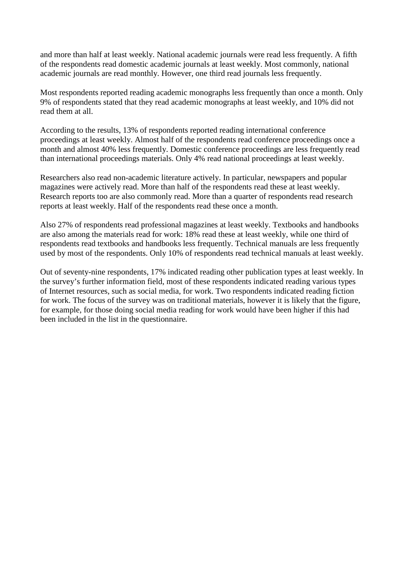and more than half at least weekly. National academic journals were read less frequently. A fifth of the respondents read domestic academic journals at least weekly. Most commonly, national academic journals are read monthly. However, one third read journals less frequently.

Most respondents reported reading academic monographs less frequently than once a month. Only 9% of respondents stated that they read academic monographs at least weekly, and 10% did not read them at all.

According to the results, 13% of respondents reported reading international conference proceedings at least weekly. Almost half of the respondents read conference proceedings once a month and almost 40% less frequently. Domestic conference proceedings are less frequently read than international proceedings materials. Only 4% read national proceedings at least weekly.

Researchers also read non-academic literature actively. In particular, newspapers and popular magazines were actively read. More than half of the respondents read these at least weekly. Research reports too are also commonly read. More than a quarter of respondents read research reports at least weekly. Half of the respondents read these once a month.

Also 27% of respondents read professional magazines at least weekly. Textbooks and handbooks are also among the materials read for work: 18% read these at least weekly, while one third of respondents read textbooks and handbooks less frequently. Technical manuals are less frequently used by most of the respondents. Only 10% of respondents read technical manuals at least weekly.

Out of seventy-nine respondents, 17% indicated reading other publication types at least weekly. In the survey's further information field, most of these respondents indicated reading various types of Internet resources, such as social media, for work. Two respondents indicated reading fiction for work. The focus of the survey was on traditional materials, however it is likely that the figure, for example, for those doing social media reading for work would have been higher if this had been included in the list in the questionnaire.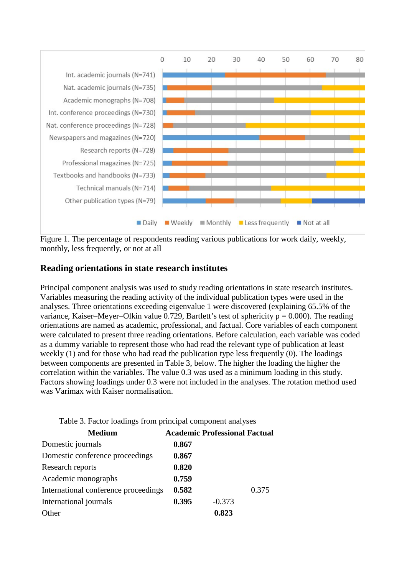

Figure 1. The percentage of respondents reading various publications for work daily, weekly, monthly, less frequently, or not at all

#### **Reading orientations in state research institutes**

Principal component analysis was used to study reading orientations in state research institutes. Variables measuring the reading activity of the individual publication types were used in the analyses. Three orientations exceeding eigenvalue 1 were discovered (explaining 65.5% of the variance, Kaiser–Meyer–Olkin value 0.729, Bartlett's test of sphericity  $p = 0.000$ ). The reading orientations are named as academic, professional, and factual. Core variables of each component were calculated to present three reading orientations. Before calculation, each variable was coded as a dummy variable to represent those who had read the relevant type of publication at least weekly (1) and for those who had read the publication type less frequently (0). The loadings between components are presented in Table 3, below. The higher the loading the higher the correlation within the variables. The value 0.3 was used as a minimum loading in this study. Factors showing loadings under 0.3 were not included in the analyses. The rotation method used was Varimax with Kaiser normalisation.

| Table 5. I actor Toachings from principal component and yous |                                      |          |       |
|--------------------------------------------------------------|--------------------------------------|----------|-------|
| <b>Medium</b>                                                | <b>Academic Professional Factual</b> |          |       |
| Domestic journals                                            | 0.867                                |          |       |
| Domestic conference proceedings                              | 0.867                                |          |       |
| Research reports                                             | 0.820                                |          |       |
| Academic monographs                                          | 0.759                                |          |       |
| International conference proceedings                         | 0.582                                |          | 0.375 |
| International journals                                       | 0.395                                | $-0.373$ |       |
| Other                                                        |                                      | 0.823    |       |
|                                                              |                                      |          |       |

Table 3. Factor loadings from principal component analyses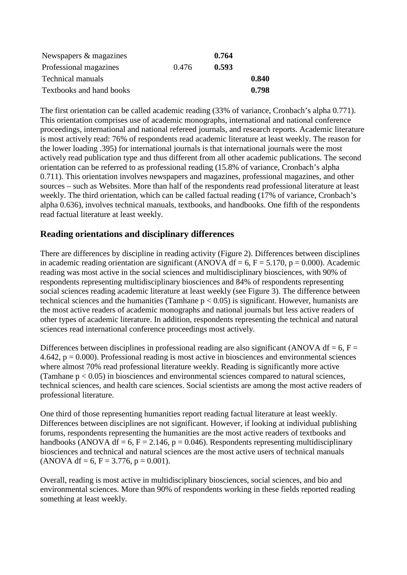| Newspapers & magazines   |       | 0.764 |       |
|--------------------------|-------|-------|-------|
| Professional magazines   | 0.476 | 0.593 |       |
| <b>Technical manuals</b> |       |       | 0.840 |
| Textbooks and hand books |       |       | 0.798 |

The first orientation can be called academic reading (33% of variance, Cronbach's alpha 0.771). This orientation comprises use of academic monographs, international and national conference proceedings, international and national refereed journals, and research reports. Academic literature is most actively read: 76% of respondents read academic literature at least weekly. The reason for the lower loading .395) for international journals is that international journals were the most actively read publication type and thus different from all other academic publications. The second orientation can be referred to as professional reading (15.8% of variance, Cronbach's alpha 0.711). This orientation involves newspapers and magazines, professional magazines, and other sources – such as Websites. More than half of the respondents read professional literature at least weekly. The third orientation, which can be called factual reading (17% of variance, Cronbach's alpha 0.636), involves technical manuals, textbooks, and handbooks. One fifth of the respondents read factual literature at least weekly.

#### **Reading orientations and disciplinary differences**

There are differences by discipline in reading activity (Figure 2). Differences between disciplines in academic reading orientation are significant (ANOVA df = 6,  $F = 5.170$ ,  $p = 0.000$ ). Academic reading was most active in the social sciences and multidisciplinary biosciences, with 90% of respondents representing multidisciplinary biosciences and 84% of respondents representing social sciences reading academic literature at least weekly (see Figure 3). The difference between technical sciences and the humanities (Tamhane  $p < 0.05$ ) is significant. However, humanists are the most active readers of academic monographs and national journals but less active readers of other types of academic literature. In addition, respondents representing the technical and natural sciences read international conference proceedings most actively.

Differences between disciplines in professional reading are also significant (ANOVA df = 6, F = 4.642,  $p = 0.000$ ). Professional reading is most active in biosciences and environmental sciences where almost 70% read professional literature weekly. Reading is significantly more active (Tamhane  $p < 0.05$ ) in biosciences and environmental sciences compared to natural sciences, technical sciences, and health care sciences. Social scientists are among the most active readers of professional literature.

One third of those representing humanities report reading factual literature at least weekly. Differences between disciplines are not significant. However, if looking at individual publishing forums, respondents representing the humanities are the most active readers of textbooks and handbooks (ANOVA df = 6, F = 2.146,  $p = 0.046$ ). Respondents representing multidisciplinary biosciences and technical and natural sciences are the most active users of technical manuals  $(ANOVA df = 6, F = 3.776, p = 0.001).$ 

Overall, reading is most active in multidisciplinary biosciences, social sciences, and bio and environmental sciences. More than 90% of respondents working in these fields reported reading something at least weekly.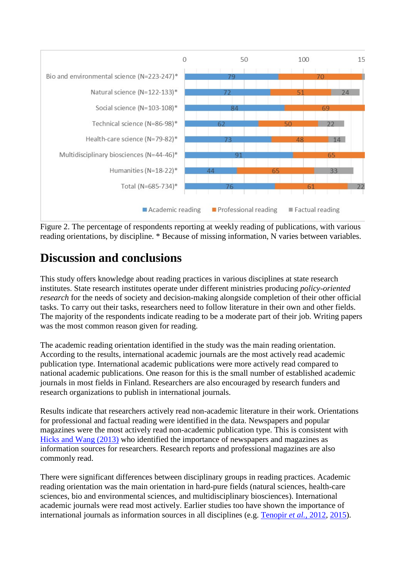

Figure 2. The percentage of respondents reporting at weekly reading of publications, with various reading orientations, by discipline. \* Because of missing information, N varies between variables.

### **Discussion and conclusions**

This study offers knowledge about reading practices in various disciplines at state research institutes. State research institutes operate under different ministries producing *policy-oriented research* for the needs of society and decision-making alongside completion of their other official tasks. To carry out their tasks, researchers need to follow literature in their own and other fields. The majority of the respondents indicate reading to be a moderate part of their job. Writing papers was the most common reason given for reading.

The academic reading orientation identified in the study was the main reading orientation. According to the results, international academic journals are the most actively read academic publication type. International academic publications were more actively read compared to national academic publications. One reason for this is the small number of established academic journals in most fields in Finland. Researchers are also encouraged by research funders and research organizations to publish in international journals.

Results indicate that researchers actively read non-academic literature in their work. Orientations for professional and factual reading were identified in the data. Newspapers and popular magazines were the most actively read non-academic publication type. This is consistent with [Hicks and Wang \(2013\)](http://www.informationr.net/ir/23-2/paper795.html#Hic13) who identified the importance of newspapers and magazines as information sources for researchers. Research reports and professional magazines are also commonly read.

There were significant differences between disciplinary groups in reading practices. Academic reading orientation was the main orientation in hard-pure fields (natural sciences, health-care sciences, bio and environmental sciences, and multidisciplinary biosciences). International academic journals were read most actively. Earlier studies too have shown the importance of international journals as information sources in all disciplines (e.g. [Tenopir](http://www.informationr.net/ir/23-2/paper795.html#Ten12) *et al.*, 2012, [2015\)](http://www.informationr.net/ir/23-2/paper795.html#Ten15).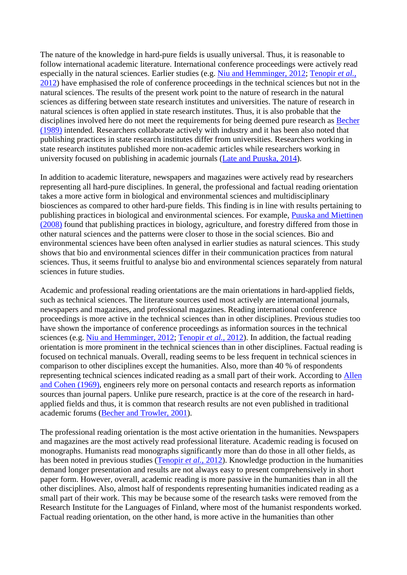The nature of the knowledge in hard-pure fields is usually universal. Thus, it is reasonable to follow international academic literature. International conference proceedings were actively read especially in the natural sciences. Earlier studies (e.g. [Niu and Hemminger, 2012;](http://www.informationr.net/ir/23-2/paper795.html#Niu12) [Tenopir](http://www.informationr.net/ir/23-2/paper795.html#Ten12) *et al.*, [2012\)](http://www.informationr.net/ir/23-2/paper795.html#Ten12) have emphasised the role of conference proceedings in the technical sciences but not in the natural sciences. The results of the present work point to the nature of research in the natural sciences as differing between state research institutes and universities. The nature of research in natural sciences is often applied in state research institutes. Thus, it is also probable that the disciplines involved here do not meet the requirements for being deemed pure research as [Becher](http://www.informationr.net/ir/23-2/paper795.html#Bec89)  [\(1989\)](http://www.informationr.net/ir/23-2/paper795.html#Bec89) intended. Researchers collaborate actively with industry and it has been also noted that publishing practices in state research institutes differ from universities. Researchers working in state research institutes published more non-academic articles while researchers working in university focused on publishing in academic journals [\(Late and Puuska, 2014\)](http://www.informationr.net/ir/23-2/paper795.html#Lat14).

In addition to academic literature, newspapers and magazines were actively read by researchers representing all hard-pure disciplines. In general, the professional and factual reading orientation takes a more active form in biological and environmental sciences and multidisciplinary biosciences as compared to other hard-pure fields. This finding is in line with results pertaining to publishing practices in biological and environmental sciences. For example, [Puuska and Miettinen](http://www.informationr.net/ir/23-2/paper795.html#Puu08)  [\(2008\)](http://www.informationr.net/ir/23-2/paper795.html#Puu08) found that publishing practices in biology, agriculture, and forestry differed from those in other natural sciences and the patterns were closer to those in the social sciences. Bio and environmental sciences have been often analysed in earlier studies as natural sciences. This study shows that bio and environmental sciences differ in their communication practices from natural sciences. Thus, it seems fruitful to analyse bio and environmental sciences separately from natural sciences in future studies.

Academic and professional reading orientations are the main orientations in hard-applied fields, such as technical sciences. The literature sources used most actively are international journals, newspapers and magazines, and professional magazines. Reading international conference proceedings is more active in the technical sciences than in other disciplines. Previous studies too have shown the importance of conference proceedings as information sources in the technical sciences (e.g. [Niu and Hemminger, 2012;](http://www.informationr.net/ir/23-2/paper795.html#Niu12) [Tenopir](http://www.informationr.net/ir/23-2/paper795.html#Ten12) *et al.*, 2012). In addition, the factual reading orientation is more prominent in the technical sciences than in other disciplines. Factual reading is focused on technical manuals. Overall, reading seems to be less frequent in technical sciences in comparison to other disciplines except the humanities. Also, more than 40 % of respondents representing technical sciences indicated reading as a small part of their work. According to [Allen](http://www.informationr.net/ir/23-2/paper795.html#All69)  [and Cohen \(1969\),](http://www.informationr.net/ir/23-2/paper795.html#All69) engineers rely more on personal contacts and research reports as information sources than journal papers. Unlike pure research, practice is at the core of the research in hardapplied fields and thus, it is common that research results are not even published in traditional academic forums [\(Becher and Trowler, 2001\)](http://www.informationr.net/ir/23-2/paper795.html#Bec01).

The professional reading orientation is the most active orientation in the humanities. Newspapers and magazines are the most actively read professional literature. Academic reading is focused on monographs. Humanists read monographs significantly more than do those in all other fields, as has been noted in previous studies [\(Tenopir](http://www.informationr.net/ir/23-2/paper795.html#Ten12) *et al.*, 2012). Knowledge production in the humanities demand longer presentation and results are not always easy to present comprehensively in short paper form. However, overall, academic reading is more passive in the humanities than in all the other disciplines. Also, almost half of respondents representing humanities indicated reading as a small part of their work. This may be because some of the research tasks were removed from the Research Institute for the Languages of Finland, where most of the humanist respondents worked. Factual reading orientation, on the other hand, is more active in the humanities than other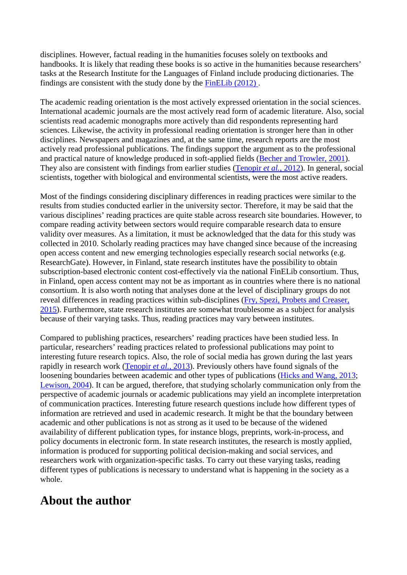disciplines. However, factual reading in the humanities focuses solely on textbooks and handbooks. It is likely that reading these books is so active in the humanities because researchers' tasks at the Research Institute for the Languages of Finland include producing dictionaries. The findings are consistent with the study done by the [FinELib \(2012\) .](http://www.informationr.net/ir/23-2/paper795.html#Fin12)

The academic reading orientation is the most actively expressed orientation in the social sciences. International academic journals are the most actively read form of academic literature. Also, social scientists read academic monographs more actively than did respondents representing hard sciences. Likewise, the activity in professional reading orientation is stronger here than in other disciplines. Newspapers and magazines and, at the same time, research reports are the most actively read professional publications. The findings support the argument as to the professional and practical nature of knowledge produced in soft-applied fields [\(Becher and Trowler, 2001\)](http://www.informationr.net/ir/23-2/paper795.html#Bec01). They also are consistent with findings from earlier studies [\(Tenopir](http://www.informationr.net/ir/23-2/paper795.html#Ten12) *et al.*, 2012). In general, social scientists, together with biological and environmental scientists, were the most active readers.

Most of the findings considering disciplinary differences in reading practices were similar to the results from studies conducted earlier in the university sector. Therefore, it may be said that the various disciplines' reading practices are quite stable across research site boundaries. However, to compare reading activity between sectors would require comparable research data to ensure validity over measures. As a limitation, it must be acknowledged that the data for this study was collected in 2010. Scholarly reading practices may have changed since because of the increasing open access content and new emerging technologies especially research social networks (e.g. ResearchGate). However, in Finland, state research institutes have the possibility to obtain subscription-based electronic content cost-effectively via the national FinELib consortium. Thus, in Finland, open access content may not be as important as in countries where there is no national consortium. It is also worth noting that analyses done at the level of disciplinary groups do not reveal differences in reading practices within sub-disciplines [\(Fry, Spezi, Probets and Creaser,](http://www.informationr.net/ir/23-2/paper795.html#Fry15)  [2015\)](http://www.informationr.net/ir/23-2/paper795.html#Fry15). Furthermore, state research institutes are somewhat troublesome as a subject for analysis because of their varying tasks. Thus, reading practices may vary between institutes.

Compared to publishing practices, researchers' reading practices have been studied less. In particular, researchers' reading practices related to professional publications may point to interesting future research topics. Also, the role of social media has grown during the last years rapidly in research work [\(Tenopir](http://www.informationr.net/ir/23-2/paper795.html#Ten13) *et al.*, 2013). Previously others have found signals of the loosening boundaries between academic and other types of publications [\(Hicks and Wang, 2013;](http://www.informationr.net/ir/23-2/paper795.html#Hic13) [Lewison, 2004\)](http://www.informationr.net/ir/23-2/paper795.html#Lew04). It can be argued, therefore, that studying scholarly communication only from the perspective of academic journals or academic publications may yield an incomplete interpretation of communication practices. Interesting future research questions include how different types of information are retrieved and used in academic research. It might be that the boundary between academic and other publications is not as strong as it used to be because of the widened availability of different publication types, for instance blogs, preprints, work-in-process, and policy documents in electronic form. In state research institutes, the research is mostly applied, information is produced for supporting political decision-making and social services, and researchers work with organization-specific tasks. To carry out these varying tasks, reading different types of publications is necessary to understand what is happening in the society as a whole.

### **About the author**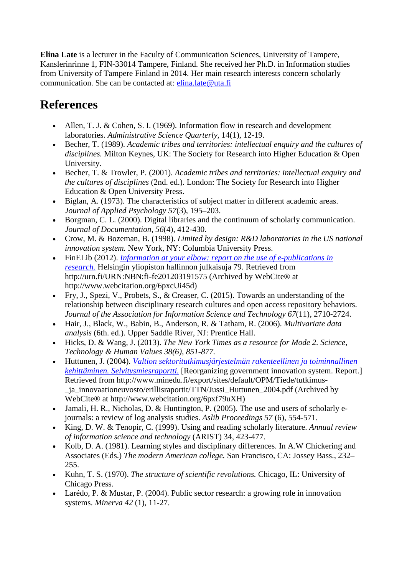**Elina Late** is a lecturer in the Faculty of Communication Sciences, University of Tampere, Kanslerinrinne 1, FIN-33014 Tampere, Finland. She received her Ph.D. in Information studies from University of Tampere Finland in 2014. Her main research interests concern scholarly communication. She can be contacted at: [elina.late@uta.fi](mailto:elina.late@uta.fi)

### **References**

- Allen, T. J. & Cohen, S. I. (1969). Information flow in research and development laboratories. *Administrative Science Quarterly,* 14(1), 12-19.
- Becher, T. (1989). *Academic tribes and territories: intellectual enquiry and the cultures of disciplines.* Milton Keynes, UK: The Society for Research into Higher Education & Open University.
- Becher, T. & Trowler, P. (2001). *Academic tribes and territories: intellectual enquiry and the cultures of disciplines* (2nd. ed.). London: The Society for Research into Higher Education & Open University Press.
- Biglan, A. (1973). The characteristics of subject matter in different academic areas. *Journal of Applied Psychology 57*(3), 195–203.
- Borgman, C. L. (2000). Digital libraries and the continuum of scholarly communication. *Journal of Documentation, 56*(4), 412-430.
- Crow, M. & Bozeman, B. (1998). *Limited by design: R&D laboratories in the US national innovation system.* New York, NY: Columbia University Press.
- FinELib (2012). *[Information at your elbow: report on the use of e-publications in](http://www.webcitation.org/6pxcUi45d)  [research.](http://www.webcitation.org/6pxcUi45d)* Helsingin yliopiston hallinnon julkaisuja 79. Retrieved from http://urn.fi/URN:NBN:fi-fe201203191575 (Archived by WebCite® at http://www.webcitation.org/6pxcUi45d)
- Fry, J., Spezi, V., Probets, S., & Creaser, C. (2015). Towards an understanding of the relationship between disciplinary research cultures and open access repository behaviors. *Journal of the Association for Information Science and Technology 67*(11), 2710-2724.
- Hair, J., Black, W., Babin, B., Anderson, R. & Tatham, R. (2006). *Multivariate data analysis* (6th. ed.). Upper Saddle River, NJ: Prentice Hall.
- Hicks, D. & Wang, J. (2013). *The New York Times as a resource for Mode 2. Science, Technology & Human Values 38(6), 851-877.*
- Huttunen, J. (2004). *[Valtion sektoritutkimusjärjestelmän rakenteellinen ja toiminnallinen](http://www.webcitation.org/6pxf79uXH)  [kehittäminen. Selvitysmiesraportti.](http://www.webcitation.org/6pxf79uXH)* [Reorganizing government innovation system. Report.] Retrieved from http://www.minedu.fi/export/sites/default/OPM/Tiede/tutkimus- \_ja\_innovaationeuvosto/erillisraportit/TTN/Jussi\_Huttunen\_2004.pdf (Archived by WebCite® at http://www.webcitation.org/6pxf79uXH)
- Jamali, H. R., Nicholas, D. & Huntington, P. (2005). The use and users of scholarly ejournals: a review of log analysis studies. *Aslib Proceedings 57* (6), 554-571.
- King, D. W. & Tenopir, C. (1999). Using and reading scholarly literature. *Annual review of information science and technology* (ARIST) 34, 423-477.
- Kolb, D. A. (1981). Learning styles and disciplinary differences. In A.W Chickering and Associates (Eds.) *The modern American college.* San Francisco, CA: Jossey Bass., 232– 255.
- Kuhn, T. S. (1970). *The structure of scientific revolutions.* Chicago, IL: University of Chicago Press.
- Larédo, P. & Mustar, P. (2004). Public sector research: a growing role in innovation systems. *Minerva 42* (1), 11-27.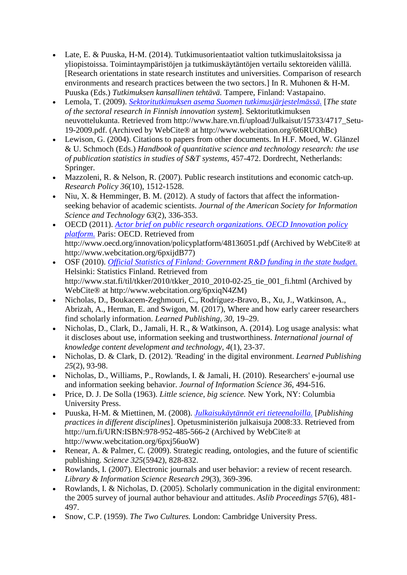- Late, E. & Puuska, H-M. (2014). Tutkimusorientaatiot valtion tutkimuslaitoksissa ja yliopistoissa. Toimintaympäristöjen ja tutkimuskäytäntöjen vertailu sektoreiden välillä. [Research orientations in state research institutes and universities. Comparison of research environments and research practices between the two sectors.] In R. Muhonen & H-M. Puuska (Eds.) *Tutkimuksen kansallinen tehtävä.* Tampere, Finland: Vastapaino.
- Lemola, T. (2009). *[Sektoritutkimuksen asema Suomen tutkimusjärjestelmässä.](http://www.webcitation.org/6t6RUOhBc)* [*The state of the sectoral research in Finnish innovation system*]. Sektoritutkimuksen neuvottelukunta. Retrieved from http://www.hare.vn.fi/upload/Julkaisut/15733/4717\_Setu-19-2009.pdf. (Archived by WebCite® at http://www.webcitation.org/6t6RUOhBc)
- Lewison, G. (2004). Citations to papers from other documents. In H.F. Moed, W. Glänzel & U. Schmoch (Eds.) *Handbook of quantitative science and technology research: the use of publication statistics in studies of S&T systems*, 457-472. Dordrecht, Netherlands: Springer.
- Mazzoleni, R. & Nelson, R. (2007). Public research institutions and economic catch-up. *Research Policy 36*(10), 1512-1528.
- Niu, X. & Hemminger, B. M. (2012). A study of factors that affect the informationseeking behavior of academic scientists. *Journal of the American Society for Information Science and Technology 63*(2), 336-353.
- OECD (2011). *[Actor brief on public research organizations. OECD Innovation policy](http://www.webcitation.org/6pxijdB77)  [platform.](http://www.webcitation.org/6pxijdB77)* Paris: OECD. Retrieved from http://www.oecd.org/innovation/policyplatform/48136051.pdf (Archived by WebCite® at http://www.webcitation.org/6pxijdB77)
- OSF (2010). *[Official Statistics of Finland: Government R&D funding in the state budget.](http://www.webcitation.org/6pxiqN4ZM)* Helsinki: Statistics Finland. Retrieved from http://www.stat.fi/til/tkker/2010/tkker\_2010\_2010-02-25\_tie\_001\_fi.html (Archived by WebCite® at http://www.webcitation.org/6pxiqN4ZM)
- Nicholas, D., Boukacem-Zeghmouri, C., Rodríguez-Bravo, B., Xu, J., Watkinson, A., Abrizah, A., Herman, E. and Swigon, M. (2017), Where and how early career researchers find scholarly information. *Learned Publishing, 30*, 19–29.
- Nicholas, D., Clark, D., Jamali, H. R., & Watkinson, A. (2014). Log usage analysis: what it discloses about use, information seeking and trustworthiness. *International journal of knowledge content development and technology, 4*(1), 23-37.
- Nicholas, D. & Clark, D. (2012). 'Reading' in the digital environment. *Learned Publishing 25*(2), 93-98.
- Nicholas, D., Williams, P., Rowlands, I. & Jamali, H. (2010). Researchers' e-journal use and information seeking behavior. *Journal of Information Science 36*, 494-516.
- Price, D. J. De Solla (1963). *Little science, big science.* New York, NY: Columbia University Press.
- Puuska, H-M. & Miettinen, M. (2008). *[Julkaisukäytännöt eri tieteenaloilla.](http://www.webcitation.org/6pxj56uoW)* [*Publishing practices in different disciplines*]. Opetusministeriön julkaisuja 2008:33. Retrieved from http://urn.fi/URN:ISBN:978-952-485-566-2 (Archived by WebCite® at http://www.webcitation.org/6pxj56uoW)
- Renear, A. & Palmer, C. (2009). Strategic reading, ontologies, and the future of scientific publishing. *Science 325*(5942), 828-832.
- Rowlands, I. (2007). Electronic journals and user behavior: a review of recent research. *Library & Information Science Research 29*(3), 369-396.
- Rowlands, I. & Nicholas, D. (2005). Scholarly communication in the digital environment: the 2005 survey of journal author behaviour and attitudes. *Aslib Proceedings 57*(6), 481- 497.
- Snow, C.P. (1959). *The Two Cultures.* London: Cambridge University Press.